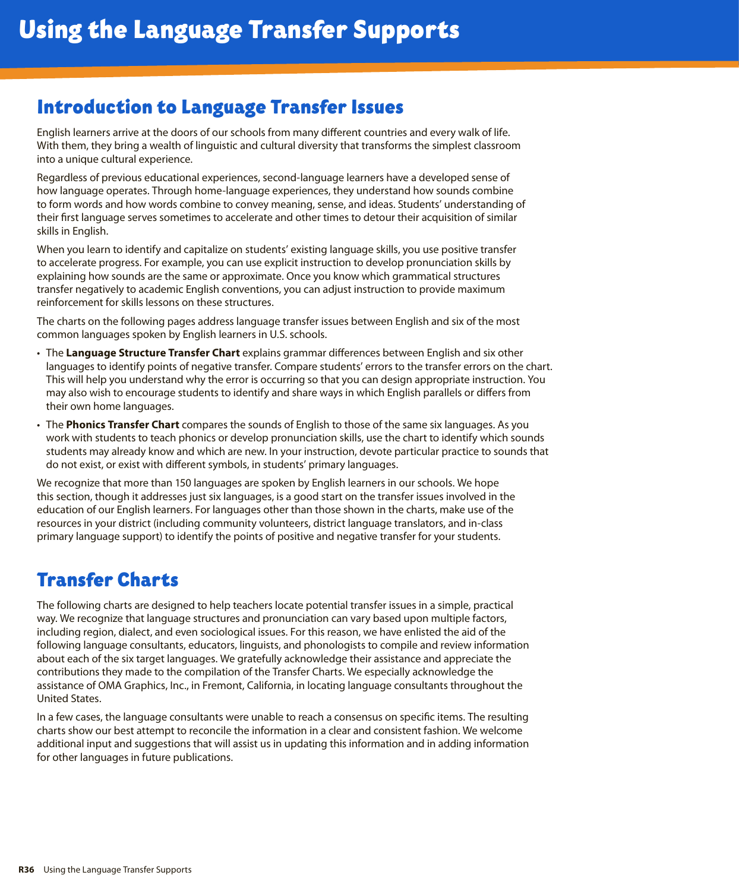## Introduction to Language Transfer Issues

English learners arrive at the doors of our schools from many different countries and every walk of life. With them, they bring a wealth of linguistic and cultural diversity that transforms the simplest classroom into a unique cultural experience.

Regardless of previous educational experiences, second-language learners have a developed sense of how language operates. Through home-language experiences, they understand how sounds combine to form words and how words combine to convey meaning, sense, and ideas. Students' understanding of their first language serves sometimes to accelerate and other times to detour their acquisition of similar skills in English.

When you learn to identify and capitalize on students' existing language skills, you use positive transfer to accelerate progress. For example, you can use explicit instruction to develop pronunciation skills by explaining how sounds are the same or approximate. Once you know which grammatical structures transfer negatively to academic English conventions, you can adjust instruction to provide maximum reinforcement for skills lessons on these structures.

The charts on the following pages address language transfer issues between English and six of the most common languages spoken by English learners in U.S. schools.

- The Language Structure Transfer Chart explains grammar differences between English and six other languages to identify points of negative transfer. Compare students' errors to the transfer errors on the chart. This will help you understand why the error is occurring so that you can design appropriate instruction. You may also wish to encourage students to identify and share ways in which English parallels or differs from their own home languages.
- The **Phonics Transfer Chart** compares the sounds of English to those of the same six languages. As you work with students to teach phonics or develop pronunciation skills, use the chart to identify which sounds students may already know and which are new. In your instruction, devote particular practice to sounds that do not exist, or exist with different symbols, in students' primary languages.

We recognize that more than 150 languages are spoken by English learners in our schools. We hope this section, though it addresses just six languages, is a good start on the transfer issues involved in the education of our English learners. For languages other than those shown in the charts, make use of the resources in your district (including community volunteers, district language translators, and in-class primary language support) to identify the points of positive and negative transfer for your students.

## Transfer Charts

The following charts are designed to help teachers locate potential transfer issues in a simple, practical way. We recognize that language structures and pronunciation can vary based upon multiple factors, including region, dialect, and even sociological issues. For this reason, we have enlisted the aid of the following language consultants, educators, linguists, and phonologists to compile and review information about each of the six target languages. We gratefully acknowledge their assistance and appreciate the contributions they made to the compilation of the Transfer Charts. We especially acknowledge the assistance of OMA Graphics, Inc., in Fremont, California, in locating language consultants throughout the United States.

In a few cases, the language consultants were unable to reach a consensus on specific items. The resulting charts show our best attempt to reconcile the information in a clear and consistent fashion. We welcome additional input and suggestions that will assist us in updating this information and in adding information for other languages in future publications.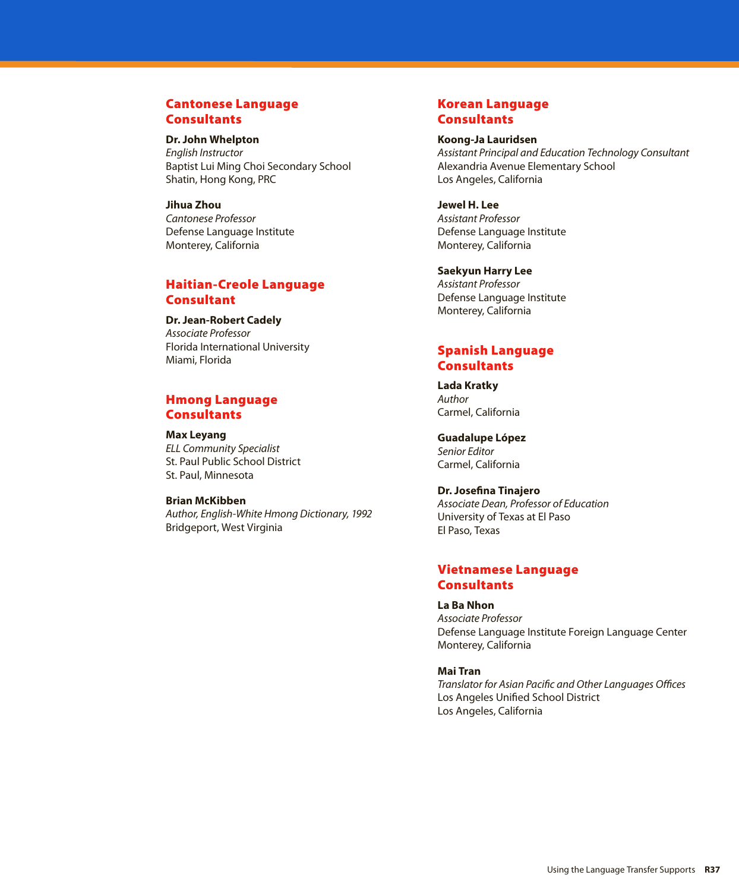### Cantonese Language Consultants

**Dr. John Whelpton**  *English Instructor*  Baptist Lui Ming Choi Secondary School Shatin, Hong Kong, PRC

**Jihua Zhou**  *Cantonese Professor*  Defense Language Institute Monterey, California

## Haitian-Creole Language Consultant

**Dr. Jean-Robert Cadely**  *Associate Professor*  Florida International University Miami, Florida

## Hmong Language Consultants

**Max Leyang**  *ELL Community Specialist*  St. Paul Public School District St. Paul, Minnesota

### **Brian McKibben**

*Author, English-White Hmong Dictionary, 1992*  Bridgeport, West Virginia

## Korean Language **Consultants**

**Koong-Ja Lauridsen**  *Assistant Principal and Education Technology Consultant*  Alexandria Avenue Elementary School Los Angeles, California

**Jewel H. Lee**  *Assistant Professor*  Defense Language Institute Monterey, California

**Saekyun Harry Lee**  *Assistant Professor*  Defense Language Institute Monterey, California

## Spanish Language Consultants

**Lada Kratky**  *Author* Carmel, California

**Guadalupe López**  *Senior Editor*  Carmel, California

### **Dr. Josefina Tinajero**

*Associate Dean, Professor of Education*  University of Texas at El Paso El Paso, Texas

## Vietnamese Language **Consultants**

### **La Ba Nhon**

*Associate Professor*  Defense Language Institute Foreign Language Center Monterey, California

### **Mai Tran**

*Translator for Asian Pacific and Other Languages Offices*  Los Angeles Unified School District Los Angeles, California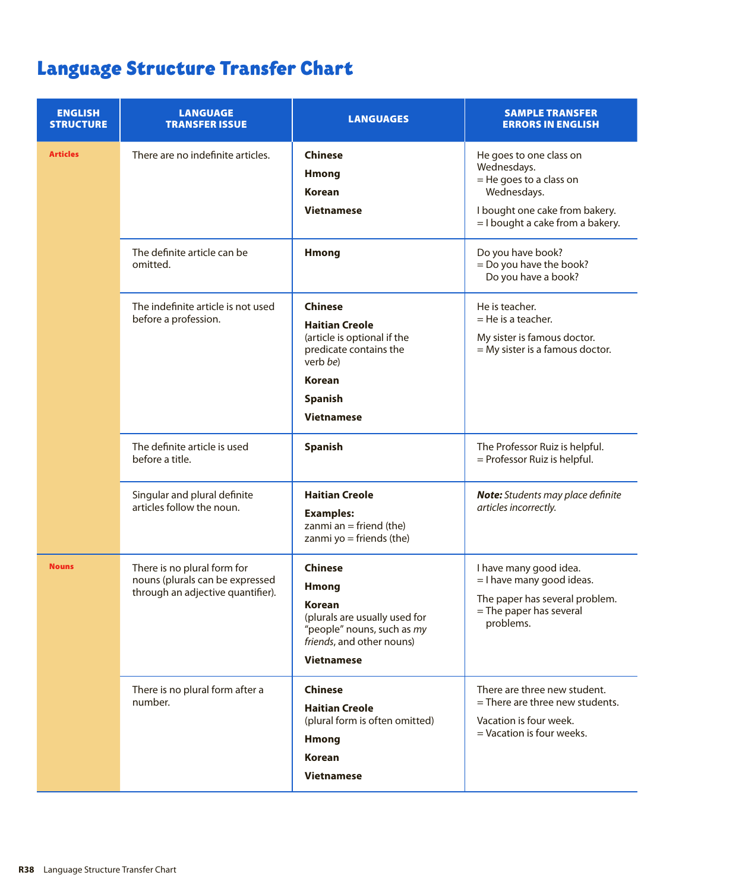# Language Structure Transfer Chart

| <b>ENGLISH</b><br><b>STRUCTURE</b> | <b>LANGUAGE</b><br><b>TRANSFER ISSUE</b>                                                            | <b>LANGUAGES</b>                                                                                                                                                     | <b>SAMPLE TRANSFER</b><br><b>ERRORS IN ENGLISH</b>                                                                                                     |
|------------------------------------|-----------------------------------------------------------------------------------------------------|----------------------------------------------------------------------------------------------------------------------------------------------------------------------|--------------------------------------------------------------------------------------------------------------------------------------------------------|
| <b>Articles</b>                    | There are no indefinite articles.                                                                   | <b>Chinese</b><br><b>Hmong</b><br><b>Korean</b><br><b>Vietnamese</b>                                                                                                 | He goes to one class on<br>Wednesdays.<br>= He goes to a class on<br>Wednesdays.<br>I bought one cake from bakery.<br>= I bought a cake from a bakery. |
|                                    | The definite article can be<br>omitted.                                                             | <b>Hmong</b>                                                                                                                                                         | Do you have book?<br>= Do you have the book?<br>Do you have a book?                                                                                    |
|                                    | The indefinite article is not used<br>before a profession.                                          | <b>Chinese</b><br><b>Haitian Creole</b><br>(article is optional if the<br>predicate contains the<br>verb be)<br><b>Korean</b><br><b>Spanish</b><br><b>Vietnamese</b> | He is teacher.<br>$=$ He is a teacher.<br>My sister is famous doctor.<br>= My sister is a famous doctor.                                               |
|                                    | The definite article is used<br>before a title.                                                     | <b>Spanish</b>                                                                                                                                                       | The Professor Ruiz is helpful.<br>= Professor Ruiz is helpful.                                                                                         |
|                                    | Singular and plural definite<br>articles follow the noun.                                           | <b>Haitian Creole</b><br><b>Examples:</b><br>zanmi an = friend (the)<br>zanmi yo = friends (the)                                                                     | <b>Note:</b> Students may place definite<br>articles incorrectly.                                                                                      |
| <b>Nouns</b>                       | There is no plural form for<br>nouns (plurals can be expressed<br>through an adjective quantifier). | <b>Chinese</b><br><b>Hmong</b><br><b>Korean</b><br>(plurals are usually used for<br>"people" nouns, such as my<br>friends, and other nouns)<br><b>Vietnamese</b>     | I have many good idea.<br>= I have many good ideas.<br>The paper has several problem.<br>$=$ The paper has several<br>problems.                        |
|                                    | There is no plural form after a<br>number.                                                          | <b>Chinese</b><br><b>Haitian Creole</b><br>(plural form is often omitted)<br><b>Hmong</b><br><b>Korean</b><br><b>Vietnamese</b>                                      | There are three new student.<br>= There are three new students.<br>Vacation is four week.<br>$=$ Vacation is four weeks.                               |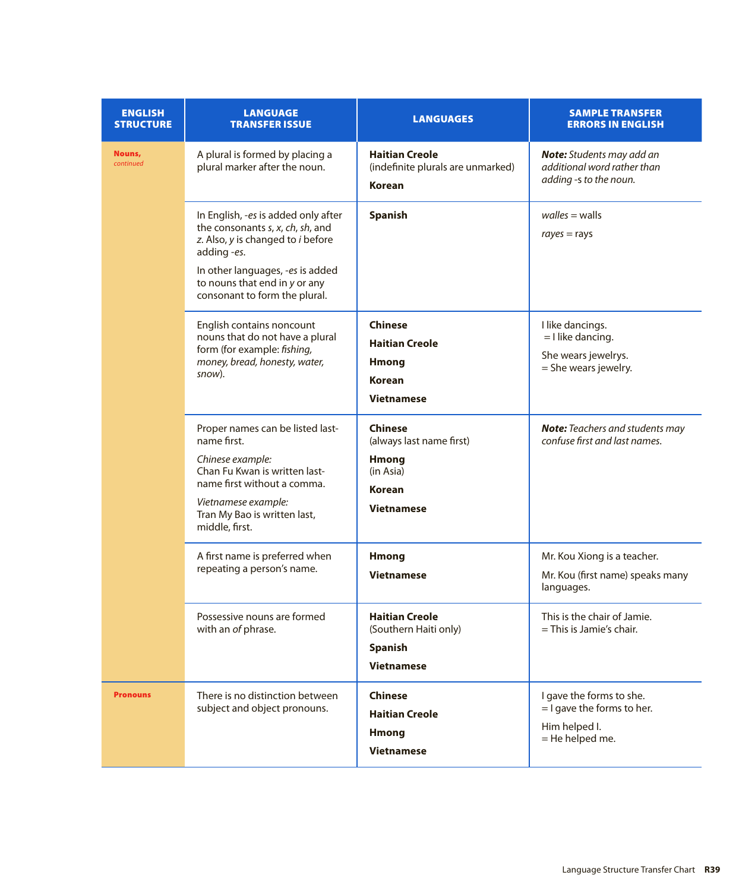| <b>ENGLISH</b><br><b>STRUCTURE</b> | <b>LANGUAGE</b><br><b>TRANSFER ISSUE</b>                                                                                                                                                                                                 | <b>LANGUAGES</b>                                                                                              | <b>SAMPLE TRANSFER</b><br><b>ERRORS IN ENGLISH</b>                                           |
|------------------------------------|------------------------------------------------------------------------------------------------------------------------------------------------------------------------------------------------------------------------------------------|---------------------------------------------------------------------------------------------------------------|----------------------------------------------------------------------------------------------|
| Nouns,<br>continued                | A plural is formed by placing a<br>plural marker after the noun.                                                                                                                                                                         | <b>Haitian Creole</b><br>(indefinite plurals are unmarked)<br><b>Korean</b>                                   | <b>Note:</b> Students may add an<br>additional word rather than<br>adding -s to the noun.    |
|                                    | In English, -es is added only after<br>the consonants s, x, ch, sh, and<br>z. Also, y is changed to <i>i</i> before<br>adding -es.<br>In other languages, -es is added<br>to nouns that end in y or any<br>consonant to form the plural. | <b>Spanish</b>                                                                                                | $wallest = walls$<br>$rays = rays$                                                           |
|                                    | English contains noncount<br>nouns that do not have a plural<br>form (for example: fishing,<br>money, bread, honesty, water,<br>snow).                                                                                                   | <b>Chinese</b><br><b>Haitian Creole</b><br><b>Hmong</b><br><b>Korean</b><br><b>Vietnamese</b>                 | I like dancings.<br>$=$ I like dancing.<br>She wears jewelrys.<br>$=$ She wears jewelry.     |
|                                    | Proper names can be listed last-<br>name first.<br>Chinese example:<br>Chan Fu Kwan is written last-<br>name first without a comma.<br>Vietnamese example:<br>Tran My Bao is written last,<br>middle, first.                             | <b>Chinese</b><br>(always last name first)<br><b>Hmong</b><br>(in Asia)<br><b>Korean</b><br><b>Vietnamese</b> | <b>Note:</b> Teachers and students may<br>confuse first and last names.                      |
|                                    | A first name is preferred when<br>repeating a person's name.                                                                                                                                                                             | <b>Hmong</b><br><b>Vietnamese</b>                                                                             | Mr. Kou Xiong is a teacher.<br>Mr. Kou (first name) speaks many<br>languages.                |
|                                    | Possessive nouns are formed<br>with an of phrase.                                                                                                                                                                                        | <b>Haitian Creole</b><br>(Southern Haiti only)<br><b>Spanish</b><br><b>Vietnamese</b>                         | This is the chair of Jamie.<br>= This is Jamie's chair.                                      |
| <b>Pronouns</b>                    | There is no distinction between<br>subject and object pronouns.                                                                                                                                                                          | <b>Chinese</b><br><b>Haitian Creole</b><br><b>Hmong</b><br><b>Vietnamese</b>                                  | I gave the forms to she.<br>$=$ I gave the forms to her.<br>Him helped I.<br>= He helped me. |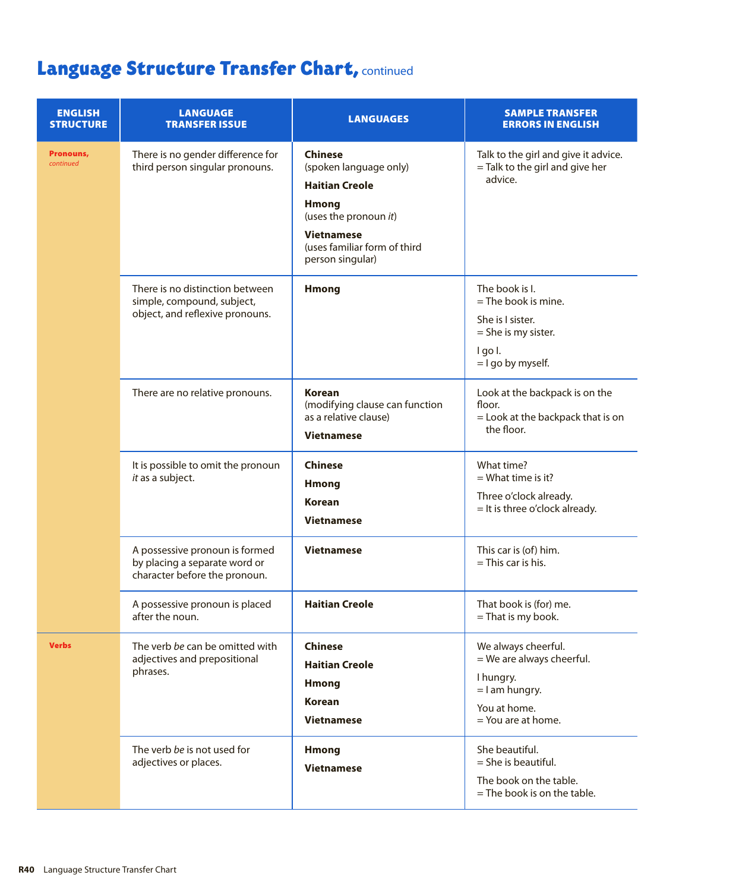# Language Structure Transfer Chart, continued

| <b>ENGLISH</b><br><b>STRUCTURE</b> | <b>LANGUAGE</b><br><b>TRANSFER ISSUE</b>                                                         | <b>LANGUAGES</b>                                                                                                                                                                    | <b>SAMPLE TRANSFER</b><br><b>ERRORS IN ENGLISH</b>                                                                        |
|------------------------------------|--------------------------------------------------------------------------------------------------|-------------------------------------------------------------------------------------------------------------------------------------------------------------------------------------|---------------------------------------------------------------------------------------------------------------------------|
| Pronouns,<br>continued             | There is no gender difference for<br>third person singular pronouns.                             | <b>Chinese</b><br>(spoken language only)<br><b>Haitian Creole</b><br><b>Hmong</b><br>(uses the pronoun it)<br><b>Vietnamese</b><br>(uses familiar form of third<br>person singular) | Talk to the girl and give it advice.<br>$=$ Talk to the girl and give her<br>advice.                                      |
|                                    | There is no distinction between<br>simple, compound, subject,<br>object, and reflexive pronouns. | <b>Hmong</b>                                                                                                                                                                        | The book is I.<br>$=$ The book is mine.<br>She is I sister.<br>= She is my sister.<br>l go l.<br>$=$ I go by myself.      |
|                                    | There are no relative pronouns.                                                                  | <b>Korean</b><br>(modifying clause can function<br>as a relative clause)<br><b>Vietnamese</b>                                                                                       | Look at the backpack is on the<br>floor.<br>= Look at the backpack that is on<br>the floor.                               |
|                                    | It is possible to omit the pronoun<br>it as a subject.                                           | <b>Chinese</b><br><b>Hmong</b><br><b>Korean</b><br><b>Vietnamese</b>                                                                                                                | What time?<br>$=$ What time is it?<br>Three o'clock already.<br>$=$ It is three o'clock already.                          |
|                                    | A possessive pronoun is formed<br>by placing a separate word or<br>character before the pronoun. | <b>Vietnamese</b>                                                                                                                                                                   | This car is (of) him.<br>$=$ This car is his.                                                                             |
|                                    | A possessive pronoun is placed<br>after the noun.                                                | <b>Haitian Creole</b>                                                                                                                                                               | That book is (for) me.<br>$=$ That is my book.                                                                            |
| <b>Verbs</b>                       | The verb be can be omitted with<br>adjectives and prepositional<br>phrases.                      | <b>Chinese</b><br><b>Haitian Creole</b><br><b>Hmong</b><br><b>Korean</b><br><b>Vietnamese</b>                                                                                       | We always cheerful.<br>= We are always cheerful.<br>I hungry.<br>$=$ I am hungry.<br>You at home.<br>$=$ You are at home. |
|                                    | The verb be is not used for<br>adjectives or places.                                             | <b>Hmong</b><br><b>Vietnamese</b>                                                                                                                                                   | She beautiful.<br>$=$ She is beautiful.<br>The book on the table.<br>$=$ The book is on the table.                        |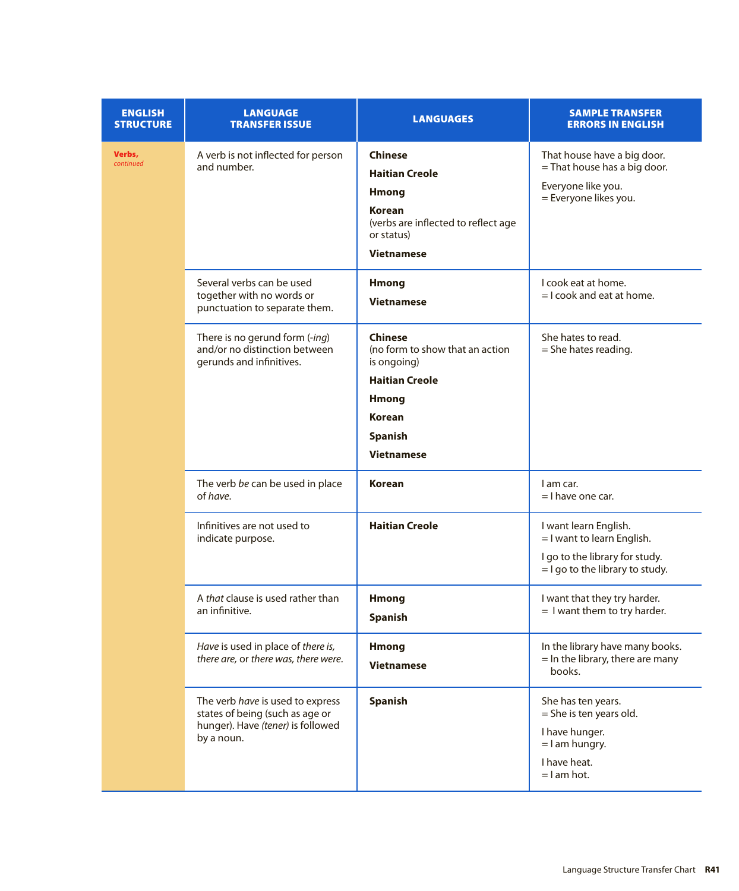| <b>ENGLISH</b><br><b>STRUCTURE</b> | <b>LANGUAGE</b><br><b>TRANSFER ISSUE</b>                                                                               | <b>LANGUAGES</b>                                                                                                                                                  | <b>SAMPLE TRANSFER</b><br><b>ERRORS IN ENGLISH</b>                                                                         |
|------------------------------------|------------------------------------------------------------------------------------------------------------------------|-------------------------------------------------------------------------------------------------------------------------------------------------------------------|----------------------------------------------------------------------------------------------------------------------------|
| Verbs,<br>continued                | A verb is not inflected for person<br>and number.                                                                      | <b>Chinese</b><br><b>Haitian Creole</b><br><b>Hmong</b><br><b>Korean</b><br>(verbs are inflected to reflect age<br>or status)<br><b>Vietnamese</b>                | That house have a big door.<br>$=$ That house has a big door.<br>Everyone like you.<br>= Everyone likes you.               |
|                                    | Several verbs can be used<br>together with no words or<br>punctuation to separate them.                                | <b>Hmong</b><br><b>Vietnamese</b>                                                                                                                                 | I cook eat at home.<br>$=$ I cook and eat at home.                                                                         |
|                                    | There is no gerund form (-ing)<br>and/or no distinction between<br>gerunds and infinitives.                            | <b>Chinese</b><br>(no form to show that an action<br>is ongoing)<br><b>Haitian Creole</b><br><b>Hmong</b><br><b>Korean</b><br><b>Spanish</b><br><b>Vietnamese</b> | She hates to read.<br>$=$ She hates reading.                                                                               |
|                                    | The verb be can be used in place<br>of have.                                                                           | <b>Korean</b>                                                                                                                                                     | I am car.<br>= I have one car.                                                                                             |
|                                    | Infinitives are not used to<br>indicate purpose.                                                                       | <b>Haitian Creole</b>                                                                                                                                             | I want learn English.<br>= I want to learn English.<br>I go to the library for study.<br>$=$ I go to the library to study. |
|                                    | A that clause is used rather than<br>an infinitive.                                                                    | <b>Hmong</b><br><b>Spanish</b>                                                                                                                                    | I want that they try harder.<br>$= 1$ want them to try harder.                                                             |
|                                    | Have is used in place of there is,<br>there are, or there was, there were.                                             | <b>Hmong</b><br><b>Vietnamese</b>                                                                                                                                 | In the library have many books.<br>$=$ In the library, there are many<br>books.                                            |
|                                    | The verb have is used to express<br>states of being (such as age or<br>hunger). Have (tener) is followed<br>by a noun. | <b>Spanish</b>                                                                                                                                                    | She has ten years.<br>$=$ She is ten years old.<br>I have hunger.<br>$=$ I am hungry.<br>I have heat.<br>$=$ I am hot.     |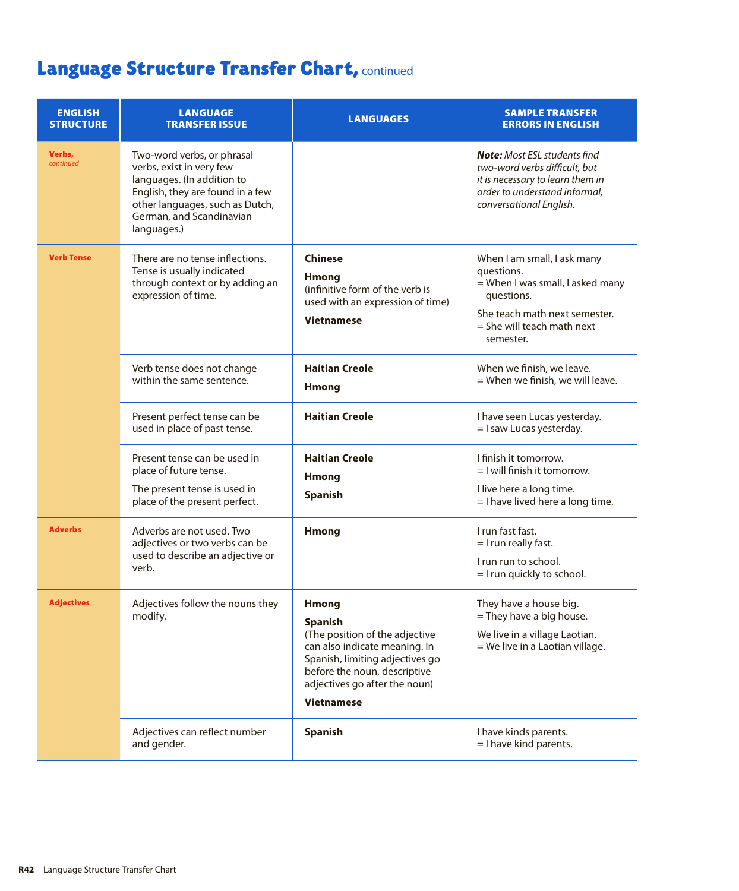# Language Structure Transfer Chart, continued

| <b>ENGLISH</b><br><b>STRUCTURE</b> | <b>LANGUAGE</b><br><b>TRANSFER ISSUE</b>                                                                                                                                                               | <b>LANGUAGES</b>                                                                                                                                                                                                           | <b>SAMPLE TRANSFER</b><br><b>ERRORS IN ENGLISH</b>                                                                                                                        |
|------------------------------------|--------------------------------------------------------------------------------------------------------------------------------------------------------------------------------------------------------|----------------------------------------------------------------------------------------------------------------------------------------------------------------------------------------------------------------------------|---------------------------------------------------------------------------------------------------------------------------------------------------------------------------|
| Verbs,<br>continued                | Two-word verbs, or phrasal<br>verbs, exist in very few<br>languages. (In addition to<br>English, they are found in a few<br>other languages, such as Dutch,<br>German, and Scandinavian<br>languages.) |                                                                                                                                                                                                                            | <b>Note:</b> Most ESL students find<br>two-word verbs difficult, but<br>it is necessary to learn them in<br>order to understand informal,<br>conversational English.      |
| <b>Verb Tense</b>                  | There are no tense inflections.<br>Tense is usually indicated<br>through context or by adding an<br>expression of time.                                                                                | <b>Chinese</b><br><b>Hmong</b><br>(infinitive form of the verb is<br>used with an expression of time)<br><b>Vietnamese</b>                                                                                                 | When I am small, I ask many<br>questions.<br>= When I was small, I asked many<br>questions.<br>She teach math next semester.<br>$=$ She will teach math next<br>semester. |
|                                    | Verb tense does not change<br>within the same sentence.                                                                                                                                                | <b>Haitian Creole</b><br><b>Hmong</b>                                                                                                                                                                                      | When we finish, we leave.<br>= When we finish, we will leave.                                                                                                             |
|                                    | Present perfect tense can be<br>used in place of past tense.                                                                                                                                           | <b>Haitian Creole</b>                                                                                                                                                                                                      | I have seen Lucas yesterday.<br>= I saw Lucas yesterday.                                                                                                                  |
|                                    | Present tense can be used in<br>place of future tense.<br>The present tense is used in<br>place of the present perfect.                                                                                | <b>Haitian Creole</b><br><b>Hmong</b><br><b>Spanish</b>                                                                                                                                                                    | I finish it tomorrow.<br>= I will finish it tomorrow.<br>I live here a long time.<br>$=$ I have lived here a long time.                                                   |
| <b>Adverbs</b>                     | Adverbs are not used. Two<br>adjectives or two verbs can be<br>used to describe an adjective or<br>verb.                                                                                               | <b>Hmong</b>                                                                                                                                                                                                               | I run fast fast.<br>$=$ I run really fast.<br>I run run to school.<br>= I run quickly to school.                                                                          |
| <b>Adjectives</b>                  | Adjectives follow the nouns they<br>modify.                                                                                                                                                            | <b>Hmong</b><br><b>Spanish</b><br>(The position of the adjective<br>can also indicate meaning. In<br>Spanish, limiting adjectives go<br>before the noun, descriptive<br>adjectives go after the noun)<br><b>Vietnamese</b> | They have a house big.<br>$=$ They have a big house.<br>We live in a village Laotian.<br>= We live in a Laotian village.                                                  |
|                                    | Adjectives can reflect number<br>and gender.                                                                                                                                                           | <b>Spanish</b>                                                                                                                                                                                                             | I have kinds parents.<br>= I have kind parents.                                                                                                                           |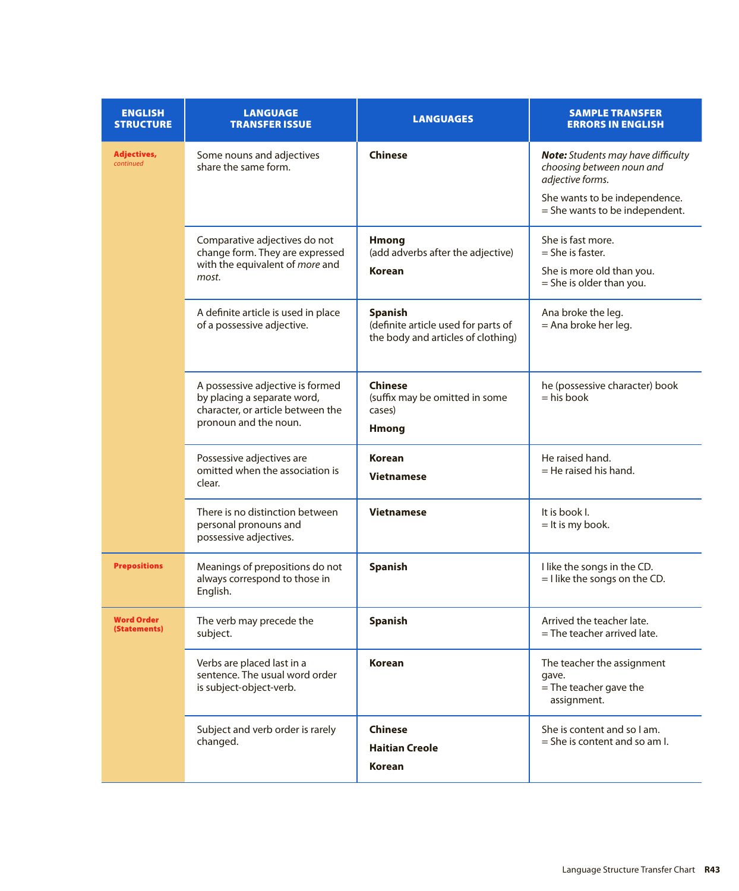| <b>ENGLISH</b><br><b>STRUCTURE</b> | <b>LANGUAGE</b><br><b>TRANSFER ISSUE</b>                                                                                      | <b>LANGUAGES</b>                                                                            | <b>SAMPLE TRANSFER</b><br><b>ERRORS IN ENGLISH</b>                                                                                                            |
|------------------------------------|-------------------------------------------------------------------------------------------------------------------------------|---------------------------------------------------------------------------------------------|---------------------------------------------------------------------------------------------------------------------------------------------------------------|
| <b>Adjectives,</b><br>continued    | Some nouns and adjectives<br>share the same form.                                                                             | <b>Chinese</b>                                                                              | <b>Note:</b> Students may have difficulty<br>choosing between noun and<br>adjective forms.<br>She wants to be independence.<br>= She wants to be independent. |
|                                    | Comparative adjectives do not<br>change form. They are expressed<br>with the equivalent of more and<br>most.                  | <b>Hmong</b><br>(add adverbs after the adjective)<br>Korean                                 | She is fast more.<br>$=$ She is faster.<br>She is more old than you.<br>$=$ She is older than you.                                                            |
|                                    | A definite article is used in place<br>of a possessive adjective.                                                             | <b>Spanish</b><br>(definite article used for parts of<br>the body and articles of clothing) | Ana broke the leg.<br>$=$ Ana broke her leg.                                                                                                                  |
|                                    | A possessive adjective is formed<br>by placing a separate word,<br>character, or article between the<br>pronoun and the noun. | <b>Chinese</b><br>(suffix may be omitted in some<br>cases)<br><b>Hmong</b>                  | he (possessive character) book<br>$=$ his book                                                                                                                |
|                                    | Possessive adjectives are<br>omitted when the association is<br>clear.                                                        | <b>Korean</b><br><b>Vietnamese</b>                                                          | He raised hand.<br>$=$ He raised his hand.                                                                                                                    |
|                                    | There is no distinction between<br>personal pronouns and<br>possessive adjectives.                                            | <b>Vietnamese</b>                                                                           | It is book I.<br>$=$ It is my book.                                                                                                                           |
| <b>Prepositions</b>                | Meanings of prepositions do not<br>always correspond to those in<br>English.                                                  | <b>Spanish</b>                                                                              | I like the songs in the CD.<br>$=$ I like the songs on the CD.                                                                                                |
| <b>Word Order</b><br>(Statements)  | The verb may precede the<br>subject.                                                                                          | <b>Spanish</b>                                                                              | Arrived the teacher late.<br>$=$ The teacher arrived late.                                                                                                    |
|                                    | Verbs are placed last in a<br>sentence. The usual word order<br>is subject-object-verb.                                       | <b>Korean</b>                                                                               | The teacher the assignment<br>gave.<br>$=$ The teacher gave the<br>assignment.                                                                                |
|                                    | Subject and verb order is rarely<br>changed.                                                                                  | <b>Chinese</b><br><b>Haitian Creole</b><br><b>Korean</b>                                    | She is content and so I am.<br>$=$ She is content and so am I.                                                                                                |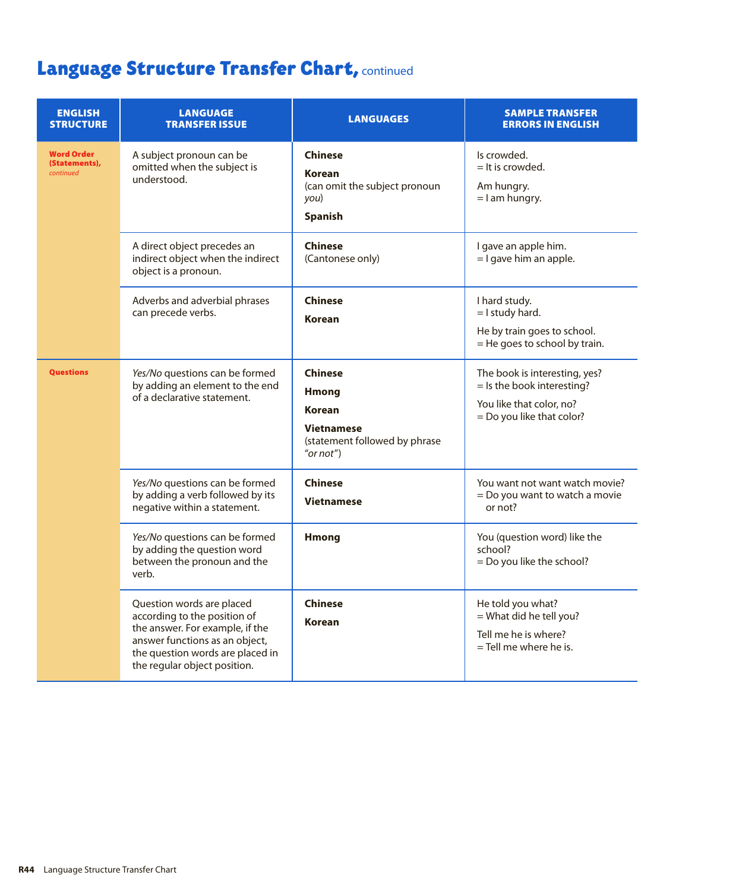# Language Structure Transfer Chart, continued

| <b>ENGLISH</b><br><b>STRUCTURE</b>              | <b>LANGUAGE</b><br><b>TRANSFER ISSUE</b>                                                                                                                                                           | <b>LANGUAGES</b>                                                                                                       | <b>SAMPLE TRANSFER</b><br><b>ERRORS IN ENGLISH</b>                                                                   |
|-------------------------------------------------|----------------------------------------------------------------------------------------------------------------------------------------------------------------------------------------------------|------------------------------------------------------------------------------------------------------------------------|----------------------------------------------------------------------------------------------------------------------|
| <b>Word Order</b><br>(Statements),<br>continued | <b>Chinese</b><br>A subject pronoun can be<br>omitted when the subject is<br><b>Korean</b><br>understood.<br>(can omit the subject pronoun<br>you)<br><b>Spanish</b>                               |                                                                                                                        | Is crowded.<br>= It is crowded.<br>Am hungry.<br>$=$ I am hungry.                                                    |
|                                                 | A direct object precedes an<br>indirect object when the indirect<br>object is a pronoun.                                                                                                           | <b>Chinese</b><br>(Cantonese only)                                                                                     | I gave an apple him.<br>$=$ I gave him an apple.                                                                     |
|                                                 | Adverbs and adverbial phrases<br>can precede verbs.                                                                                                                                                | <b>Chinese</b><br><b>Korean</b>                                                                                        | I hard study.<br>$=$ I study hard.<br>He by train goes to school.<br>= He goes to school by train.                   |
| <b>Questions</b>                                | Yes/No questions can be formed<br>by adding an element to the end<br>of a declarative statement.                                                                                                   | <b>Chinese</b><br><b>Hmong</b><br><b>Korean</b><br><b>Vietnamese</b><br>(statement followed by phrase<br>" $or not"$ ) | The book is interesting, yes?<br>= Is the book interesting?<br>You like that color, no?<br>= Do you like that color? |
|                                                 | Yes/No questions can be formed<br>by adding a verb followed by its<br>negative within a statement.                                                                                                 | <b>Chinese</b><br><b>Vietnamese</b>                                                                                    | You want not want watch movie?<br>= Do you want to watch a movie<br>or not?                                          |
|                                                 | Yes/No questions can be formed<br>by adding the question word<br>between the pronoun and the<br>verb.                                                                                              | <b>Hmong</b>                                                                                                           | You (question word) like the<br>school?<br>= Do you like the school?                                                 |
|                                                 | Question words are placed<br>according to the position of<br>the answer. For example, if the<br>answer functions as an object,<br>the question words are placed in<br>the regular object position. | <b>Chinese</b><br><b>Korean</b>                                                                                        | He told you what?<br>= What did he tell you?<br>Tell me he is where?<br>$=$ Tell me where he is.                     |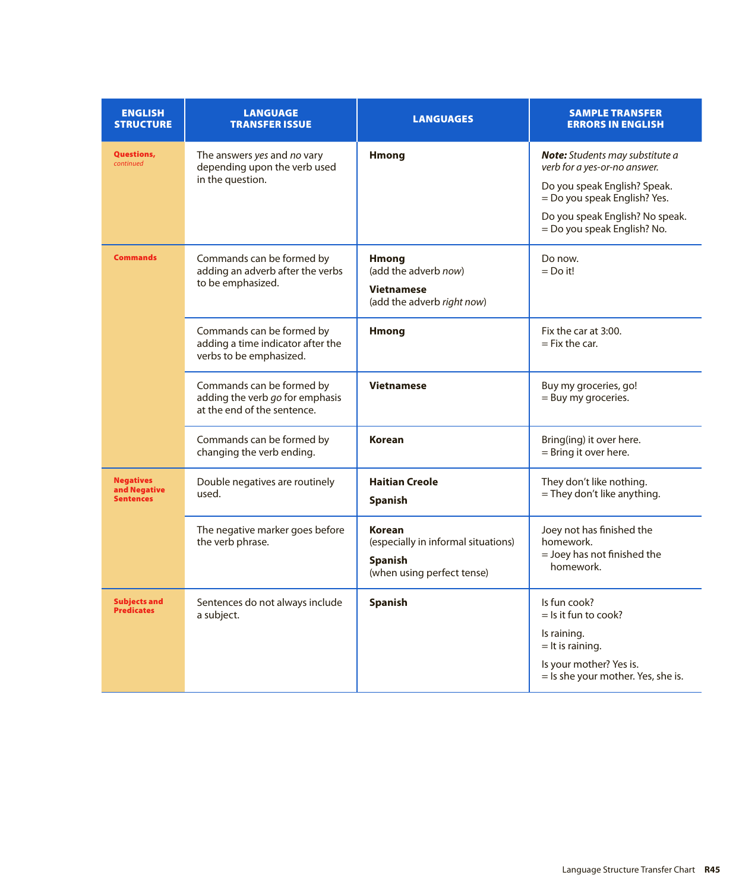| <b>ENGLISH</b><br><b>STRUCTURE</b>                   | <b>LANGUAGE</b><br><b>TRANSFER ISSUE</b>                                                    | <b>LANGUAGES</b>                                                                                     | <b>SAMPLE TRANSFER</b><br><b>ERRORS IN ENGLISH</b>                                                                                                                                                       |
|------------------------------------------------------|---------------------------------------------------------------------------------------------|------------------------------------------------------------------------------------------------------|----------------------------------------------------------------------------------------------------------------------------------------------------------------------------------------------------------|
| <b>Questions,</b><br>continued                       | The answers yes and no vary<br>depending upon the verb used<br>in the question.             | <b>Hmong</b>                                                                                         | <b>Note:</b> Students may substitute a<br>verb for a yes-or-no answer.<br>Do you speak English? Speak.<br>= Do you speak English? Yes.<br>Do you speak English? No speak.<br>= Do you speak English? No. |
| <b>Commands</b>                                      | Commands can be formed by<br>adding an adverb after the verbs<br>to be emphasized.          | <b>Hmong</b><br>(add the adverb now)<br><b>Vietnamese</b><br>(add the adverb right now)              | Do now.<br>$=$ Do it!                                                                                                                                                                                    |
|                                                      | Commands can be formed by<br>adding a time indicator after the<br>verbs to be emphasized.   | <b>Hmong</b>                                                                                         | Fix the car at 3:00.<br>$=$ Fix the car.                                                                                                                                                                 |
|                                                      | Commands can be formed by<br>adding the verb go for emphasis<br>at the end of the sentence. | <b>Vietnamese</b>                                                                                    | Buy my groceries, go!<br>= Buy my groceries.                                                                                                                                                             |
|                                                      | Commands can be formed by<br>changing the verb ending.                                      | <b>Korean</b>                                                                                        | Bring(ing) it over here.<br>= Bring it over here.                                                                                                                                                        |
| <b>Negatives</b><br>and Negative<br><b>Sentences</b> | Double negatives are routinely<br>used.                                                     | <b>Haitian Creole</b><br><b>Spanish</b>                                                              | They don't like nothing.<br>= They don't like anything.                                                                                                                                                  |
|                                                      | The negative marker goes before<br>the verb phrase.                                         | <b>Korean</b><br>(especially in informal situations)<br><b>Spanish</b><br>(when using perfect tense) | Joey not has finished the<br>homework.<br>= Joey has not finished the<br>homework.                                                                                                                       |
| <b>Subjects and</b><br><b>Predicates</b>             | Sentences do not always include<br>a subject.                                               | <b>Spanish</b>                                                                                       | Is fun cook?<br>$=$ Is it fun to cook?<br>Is raining.<br>$=$ It is raining.<br>Is your mother? Yes is.<br>= Is she your mother. Yes, she is.                                                             |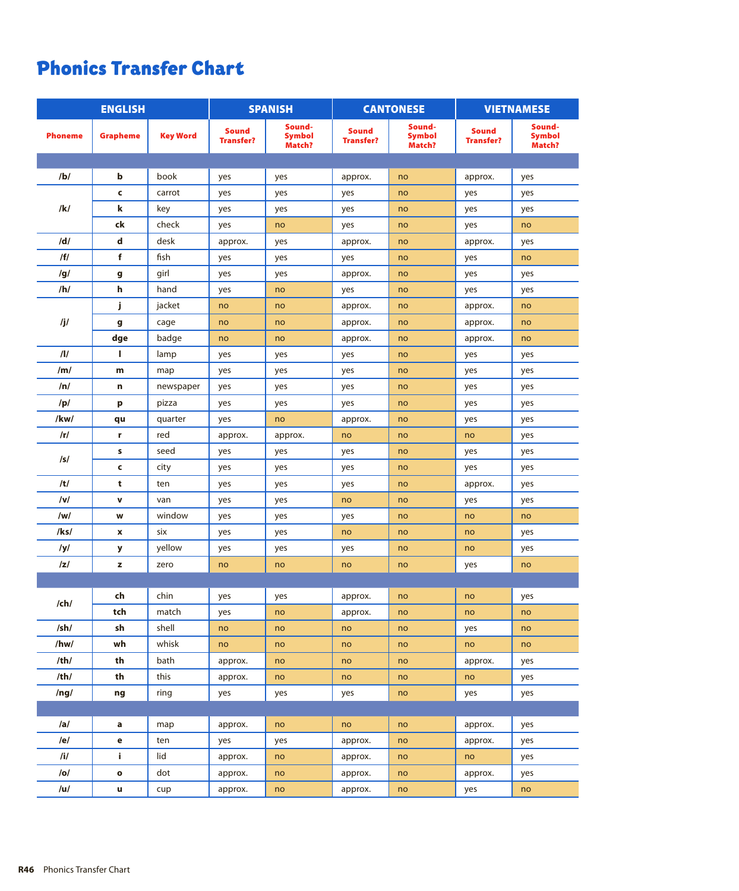## Phonics Transfer Chart

|                         | <b>ENGLISH</b>  |                 |                                  | <b>SPANISH</b>                           |                                  | <b>CANTONESE</b>                         |                                  | <b>VIETNAMESE</b>                        |
|-------------------------|-----------------|-----------------|----------------------------------|------------------------------------------|----------------------------------|------------------------------------------|----------------------------------|------------------------------------------|
| <b>Phoneme</b>          | <b>Grapheme</b> | <b>Key Word</b> | <b>Sound</b><br><b>Transfer?</b> | Sound-<br><b>Symbol</b><br><b>Match?</b> | <b>Sound</b><br><b>Transfer?</b> | Sound-<br><b>Symbol</b><br><b>Match?</b> | <b>Sound</b><br><b>Transfer?</b> | Sound-<br><b>Symbol</b><br><b>Match?</b> |
|                         |                 |                 |                                  |                                          |                                  |                                          |                                  |                                          |
| /b/                     | b               | book            | yes                              | yes                                      | approx.                          | no                                       | approx.                          | yes                                      |
|                         | $\mathsf{C}$    | carrot          | yes                              | yes                                      | yes                              | no                                       | yes                              | yes                                      |
| /k/                     | k               | key             | yes                              | yes                                      | yes                              | no                                       | yes                              | yes                                      |
|                         | ck              | check           | yes                              | no                                       | yes                              | no                                       | yes                              | no                                       |
| /d/                     | $\mathbf d$     | desk            | approx.                          | yes                                      | approx.                          | no                                       | approx.                          | yes                                      |
| /f/                     | $\mathbf{f}$    | fish            | yes                              | yes                                      | yes                              | no                                       | yes                              | no                                       |
| /g/                     | g               | girl            | yes                              | yes                                      | approx.                          | no                                       | yes                              | yes                                      |
| /h/                     | $\mathsf{h}$    | hand            | yes                              | no                                       | yes                              | no                                       | yes                              | yes                                      |
|                         | j               | jacket          | no                               | no                                       | approx.                          | no                                       | approx.                          | no                                       |
| /j/                     | g               | cage            | no                               | no                                       | approx.                          | no                                       | approx.                          | no                                       |
|                         | dge             | badge           | no                               | no                                       | approx.                          | no                                       | approx.                          | no                                       |
| /                       | L               | lamp            | yes                              | yes                                      | yes                              | no                                       | yes                              | yes                                      |
| /m/                     | m               | map             | yes                              | yes                                      | yes                              | no                                       | yes                              | yes                                      |
| /n/                     | n               | newspaper       | yes                              | yes                                      | yes                              | no                                       | yes                              | yes                                      |
| /p/                     | p               | pizza           | yes                              | yes                                      | yes                              | no                                       | yes                              | yes                                      |
| /kw/                    | qu              | quarter         | yes                              | no                                       | approx.                          | no                                       | yes                              | yes                                      |
| /r/                     | r               | red             | approx.                          | approx.                                  | no                               | no                                       | no                               | yes                                      |
|                         | s               | seed            | yes                              | yes                                      | yes                              | no                                       | yes                              | yes                                      |
| /s/                     | $\mathsf{C}$    | city            | yes                              | yes                                      | yes                              | no                                       | yes                              | yes                                      |
| /t/                     | t               | ten             | yes                              | yes                                      | yes                              | no                                       | approx.                          | yes                                      |
| v                       | $\mathbf v$     | van             | yes                              | yes                                      | no                               | no                                       | yes                              | yes                                      |
| /w/                     | w               | window          | yes                              | yes                                      | yes                              | no                                       | no                               | no                                       |
| $ $ ks/                 | X               | six             | yes                              | yes                                      | no                               | no                                       | no                               | yes                                      |
| /y/                     | y               | yellow          | yes                              | yes                                      | yes                              | no                                       | no                               | yes                                      |
| z                       | z               | zero            | no                               | no                                       | no                               | no                                       | yes                              | no                                       |
|                         |                 |                 |                                  |                                          |                                  |                                          |                                  |                                          |
|                         | ch              | chin            | yes                              | yes                                      | approx.                          | no                                       | no                               | yes                                      |
| /ch/                    | tch             | match           | yes                              | no                                       | approx.                          | no                                       | no                               | no                                       |
| /sh/                    | sh              | shell           | no                               | no                                       | no                               | no                                       | yes                              | no                                       |
| /hw/                    | wh              | whisk           | no                               | no                                       | no                               | no                                       | no                               | no                                       |
| /th/                    | th              | bath            | approx.                          | no                                       | no                               | no                                       | approx.                          | yes                                      |
| /th/                    | th              | this            | approx.                          | no                                       | no                               | no                                       | no                               |                                          |
|                         |                 |                 |                                  |                                          |                                  |                                          |                                  | yes                                      |
| /ng/                    | ng              | ring            | yes                              | yes                                      | yes                              | no                                       | yes                              | yes                                      |
| /al                     | a               | map             | approx.                          | no                                       | no                               | no                                       | approx.                          | yes                                      |
| /e/                     | $\mathbf e$     | ten             |                                  |                                          | approx.                          |                                          |                                  |                                          |
| /i/                     | i.              | lid             | yes                              | yes                                      |                                  | no                                       | approx.                          | yes                                      |
|                         |                 | dot             | approx.                          | no                                       | approx.                          | no                                       | no                               | yes                                      |
| $\overline{\mathsf{I}}$ | $\mathbf{o}$    |                 | approx.                          | no                                       | approx.                          | no                                       | approx.                          | yes                                      |
| /u/                     | u               | cup             | approx.                          | no                                       | approx.                          | no                                       | yes                              | no                                       |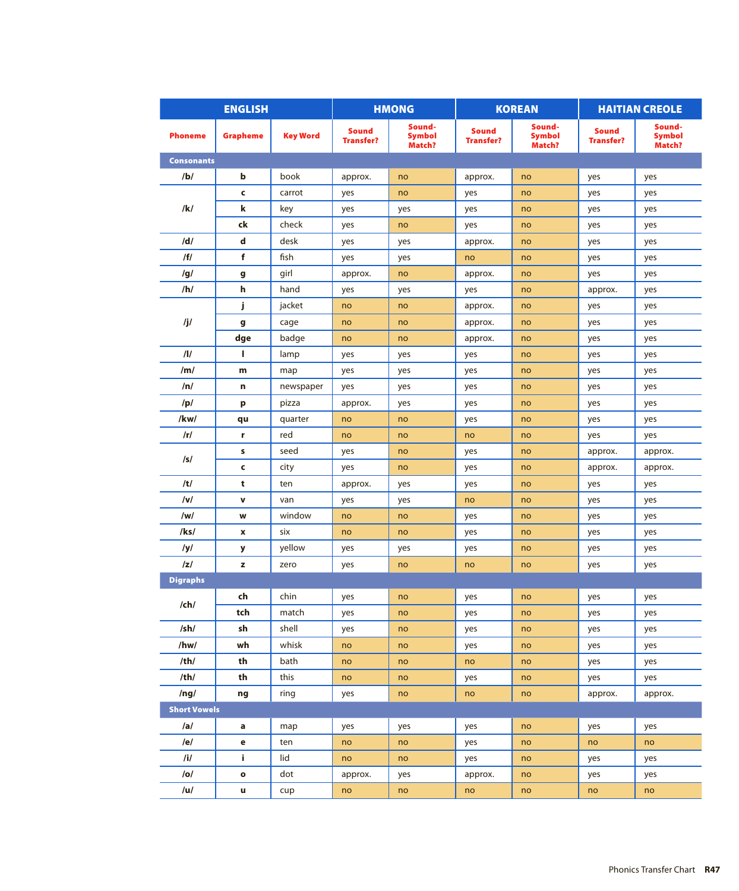|                     | <b>ENGLISH</b>     |                 |                                  | <b>HMONG</b>                      |                                  | <b>KOREAN</b>                            |                                  | <b>HAITIAN CREOLE</b>                    |
|---------------------|--------------------|-----------------|----------------------------------|-----------------------------------|----------------------------------|------------------------------------------|----------------------------------|------------------------------------------|
| <b>Phoneme</b>      | <b>Grapheme</b>    | <b>Key Word</b> | <b>Sound</b><br><b>Transfer?</b> | Sound-<br><b>Symbol</b><br>Match? | <b>Sound</b><br><b>Transfer?</b> | Sound-<br><b>Symbol</b><br><b>Match?</b> | <b>Sound</b><br><b>Transfer?</b> | Sound-<br><b>Symbol</b><br><b>Match?</b> |
| <b>Consonants</b>   |                    |                 |                                  |                                   |                                  |                                          |                                  |                                          |
| /b/                 | b                  | book            | approx.                          | no                                | approx.                          | no                                       | yes                              | yes                                      |
|                     | $\mathsf{c}$       | carrot          | yes                              | no                                | yes                              | no                                       | yes                              | yes                                      |
| /k/                 | k                  | key             | yes                              | yes                               | yes                              | no                                       | yes                              | yes                                      |
|                     | ck                 | check           | yes                              | no                                | yes                              | no                                       | yes                              | yes                                      |
| /d/                 | $\mathbf d$        | desk            | yes                              | yes                               | approx.                          | no                                       | yes                              | yes                                      |
| /f/                 | $\mathbf f$        | fish            | yes                              | yes                               | no                               | no                                       | yes                              | yes                                      |
| /g/                 | $\boldsymbol{g}$   | girl            | approx.                          | no                                | approx.                          | no                                       | yes                              | yes                                      |
| /h/                 | h                  | hand            | yes                              | yes                               | yes                              | no                                       | approx.                          | yes                                      |
|                     | j                  | jacket          | no                               | no                                | approx.                          | no                                       | yes                              | yes                                      |
| $\int$              | g                  | cage            | no                               | no                                | approx.                          | no                                       | yes                              | yes                                      |
|                     | dge                | badge           | no                               | no                                | approx.                          | no                                       | yes                              | yes                                      |
| /                   | I.                 | lamp            | yes                              | yes                               | yes                              | no                                       | yes                              | yes                                      |
| /m/                 | m                  | map             | yes                              | yes                               | yes                              | no                                       | yes                              | yes                                      |
| /n/                 | n                  | newspaper       | yes                              | yes                               | yes                              | no                                       | yes                              | yes                                      |
| /p/                 | p                  | pizza           | approx.                          | yes                               | yes                              | no                                       | yes                              | yes                                      |
| /kw/                | qu                 | quarter         | no                               | no                                | yes                              | no                                       | yes                              | yes                                      |
| /r/                 | r                  | red             | no                               | no                                | no                               | no                                       | yes                              | yes                                      |
| s                   | s                  | seed            | yes                              | no                                | yes                              | no                                       | approx.                          | approx.                                  |
|                     | $\mathsf{C}$       | city            | yes                              | no                                | yes                              | no                                       | approx.                          | approx.                                  |
| /t/                 | t                  | ten             | approx.                          | yes                               | yes                              | no                                       | yes                              | yes                                      |
| v                   | $\mathbf v$        | van             | yes                              | yes                               | no                               | no                                       | yes                              | yes                                      |
| /w/                 | w                  | window          | no                               | no                                | yes                              | no                                       | yes                              | yes                                      |
| /ks/                | $\pmb{\mathsf{x}}$ | six             | no                               | no                                | yes                              | no                                       | yes                              | yes                                      |
| /y/                 | У                  | yellow          | yes                              | yes                               | yes                              | no                                       | yes                              | yes                                      |
| z                   | z                  | zero            | yes                              | no                                | no                               | no                                       | yes                              | yes                                      |
| <b>Digraphs</b>     |                    |                 |                                  |                                   |                                  |                                          |                                  |                                          |
| /ch/                | ch                 | chin            | yes                              | no                                | yes                              | no                                       | yes                              | yes                                      |
|                     | tch                | match           | yes                              | no                                | yes                              | no                                       | yes                              | yes                                      |
| /sh/                | sh                 | shell           | yes                              | no                                | yes                              | no                                       | yes                              | yes                                      |
| /hw/                | wh                 | whisk           | no                               | no                                | yes                              | no                                       | yes                              | yes                                      |
| /th/                | th                 | bath            | no                               | no                                | no                               | no                                       | yes                              | yes                                      |
| /th/                | th                 | this            | no                               | no                                | yes                              | no                                       | yes                              | yes                                      |
| /ng/                | ng                 | ring            | yes                              | no                                | no                               | no                                       | approx.                          | approx.                                  |
| <b>Short Vowels</b> |                    |                 |                                  |                                   |                                  |                                          |                                  |                                          |
| /al                 | a                  | map             | yes                              | yes                               | yes                              | no                                       | yes                              | yes                                      |
| /e/                 | $\mathbf e$        | ten             | no                               | no                                | yes                              | no                                       | no                               | no                                       |
| $/$ i $/$           | i.                 | lid             | no                               | no                                | yes                              | no                                       | yes                              | yes                                      |
| $\overline{10}$     | $\mathbf{o}$       | dot             | approx.                          | yes                               | approx.                          | no                                       | yes                              | yes                                      |
| /u/                 | u                  | cup             | no                               | no                                | no                               | no                                       | no                               | no                                       |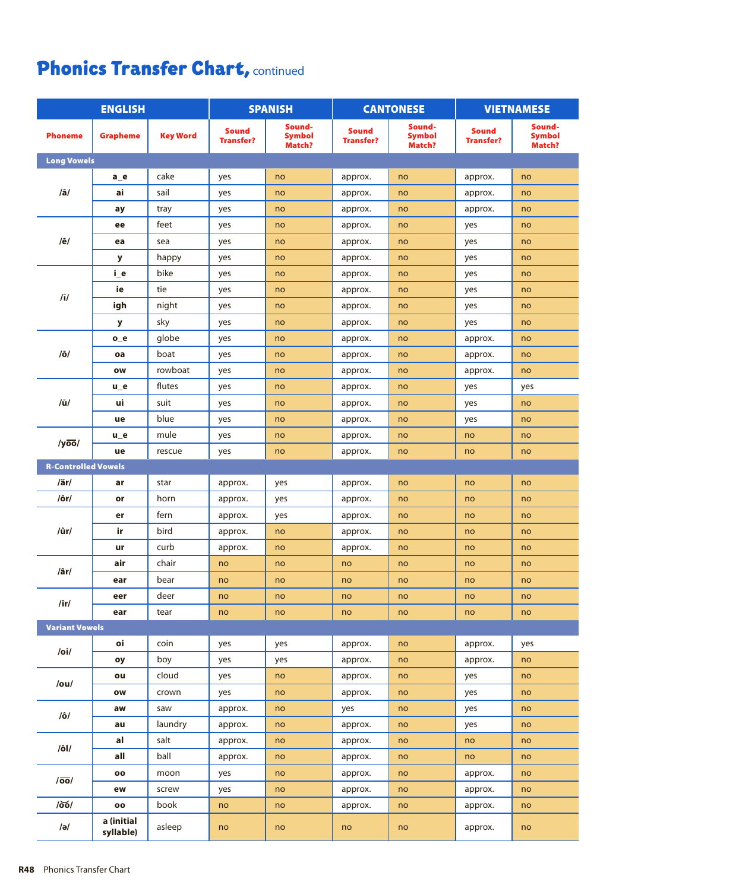# Phonics Transfer Chart, continued

|                            | <b>ENGLISH</b>          |                 |                                  | <b>SPANISH</b>                    |                                  | <b>CANTONESE</b>                  | <b>VIETNAMESE</b>                |                                          |
|----------------------------|-------------------------|-----------------|----------------------------------|-----------------------------------|----------------------------------|-----------------------------------|----------------------------------|------------------------------------------|
| <b>Phoneme</b>             | <b>Grapheme</b>         | <b>Key Word</b> | <b>Sound</b><br><b>Transfer?</b> | Sound-<br><b>Symbol</b><br>Match? | <b>Sound</b><br><b>Transfer?</b> | Sound-<br><b>Symbol</b><br>Match? | <b>Sound</b><br><b>Transfer?</b> | Sound-<br><b>Symbol</b><br><b>Match?</b> |
| <b>Long Vowels</b>         |                         |                 |                                  |                                   |                                  |                                   |                                  |                                          |
|                            | $a_e$                   | cake            | yes                              | no                                | approx.                          | no                                | approx.                          | no                                       |
| $/\bar{a}/$                | ai                      | sail            | yes                              | no                                | approx.                          | no                                | approx.                          | no                                       |
|                            | ay                      | tray            | yes                              | no                                | approx.                          | no                                | approx.                          | no                                       |
|                            | ee                      | feet            | yes                              | no                                | approx.                          | no                                | yes                              | no                                       |
| /ē/                        | ea                      | sea             | yes                              | no                                | approx.                          | no                                | yes                              | no                                       |
|                            | y                       | happy           | yes                              | no                                | approx.                          | no                                | yes                              | no                                       |
|                            | $i_e$                   | bike            | yes                              | no                                | approx.                          | no                                | yes                              | no                                       |
| $\sqrt{I}$                 | ie                      | tie             | yes                              | no                                | approx.                          | no                                | yes                              | no                                       |
|                            | igh                     | night           | yes                              | no                                | approx.                          | no                                | yes                              | no                                       |
|                            | y                       | sky             | yes                              | no                                | approx.                          | no                                | yes                              | no                                       |
|                            | $o_e$                   | globe           | yes                              | no                                | approx.                          | no                                | approx.                          | no                                       |
| /ō/                        | oa                      | boat            | yes                              | no                                | approx.                          | no                                | approx.                          | no                                       |
|                            | ow                      | rowboat         | yes                              | no                                | approx.                          | no                                | approx.                          | no                                       |
|                            | $u_e$                   | flutes          | yes                              | no                                | approx.                          | no                                | yes                              | yes                                      |
| $/\bar{u}/$                | ui                      | suit            | yes                              | no                                | approx.                          | no                                | yes                              | no                                       |
|                            | ue                      | blue            | yes                              | no                                | approx.                          | no                                | yes                              | no                                       |
|                            | $u_e$                   | mule            | yes                              | no                                | approx.                          | no                                | no                               | no                                       |
| $/y\overline{oo}/$         | ue                      | rescue          | yes                              | no                                | approx.                          | no                                | no                               | no                                       |
| <b>R-Controlled Vowels</b> |                         |                 |                                  |                                   |                                  |                                   |                                  |                                          |
| /är/                       | ar                      | star            | approx.                          | yes                               | approx.                          | no                                | no                               | no                                       |
| /ôr/                       | or                      | horn            | approx.                          | yes                               | approx.                          | no                                | no                               | no                                       |
|                            | er                      | fern            | approx.                          | yes                               | approx.                          | no                                | no                               | no                                       |
| /ûr/                       | ir                      | bird            | approx.                          | no                                | approx.                          | no                                | no                               | no                                       |
|                            | ur                      | curb            | approx.                          | no                                | approx.                          | no                                | no                               | no                                       |
| /âr/                       | air                     | chair           | no                               | no                                | no                               | no                                | no                               | no                                       |
|                            | ear                     | bear            | no                               | no                                | no                               | no                                | no                               | no                                       |
|                            | eer                     | deer            | no                               | no                                | no                               | no                                | no                               | no                                       |
| /îr/                       | ear                     | tear            | no                               | no                                | no                               | no                                | no                               | no                                       |
| <b>Variant Vowels</b>      |                         |                 |                                  |                                   |                                  |                                   |                                  |                                          |
| /oi/                       | oi                      | coin            | yes                              | yes                               | approx.                          | no                                | approx.                          | yes                                      |
|                            | oy                      | boy             | yes                              | yes                               | approx.                          | no                                | approx.                          | no                                       |
|                            | ou                      | cloud           | yes                              | no                                | approx.                          | no                                | yes                              | no                                       |
| /ou/                       | ow                      | crown           | yes                              | no                                | approx.                          | no                                | yes                              | no                                       |
|                            | aw                      | saw             | approx.                          | no                                | yes                              | no                                | yes                              | no                                       |
| /6/                        | au                      | laundry         | approx.                          | no                                | approx.                          | no                                | yes                              | no                                       |
|                            | al                      | salt            | approx.                          | no                                | approx.                          | no                                | no                               | no                                       |
| /ôl/                       | all                     | ball            | approx.                          | no                                | approx.                          | no                                | no                               | no                                       |
|                            | oo                      | moon            | yes                              | no                                | approx.                          | no                                | approx.                          | no                                       |
| $\sqrt{200}$               | ew                      | screw           | yes                              | no                                | approx.                          | no                                | approx.                          | no                                       |
| 100/                       | oo                      | book            | no                               | no                                | approx.                          | no                                | approx.                          | no                                       |
| $\overline{\theta}$        | a (initial<br>syllable) | asleep          | no                               | no                                | no                               | no                                | approx.                          | no                                       |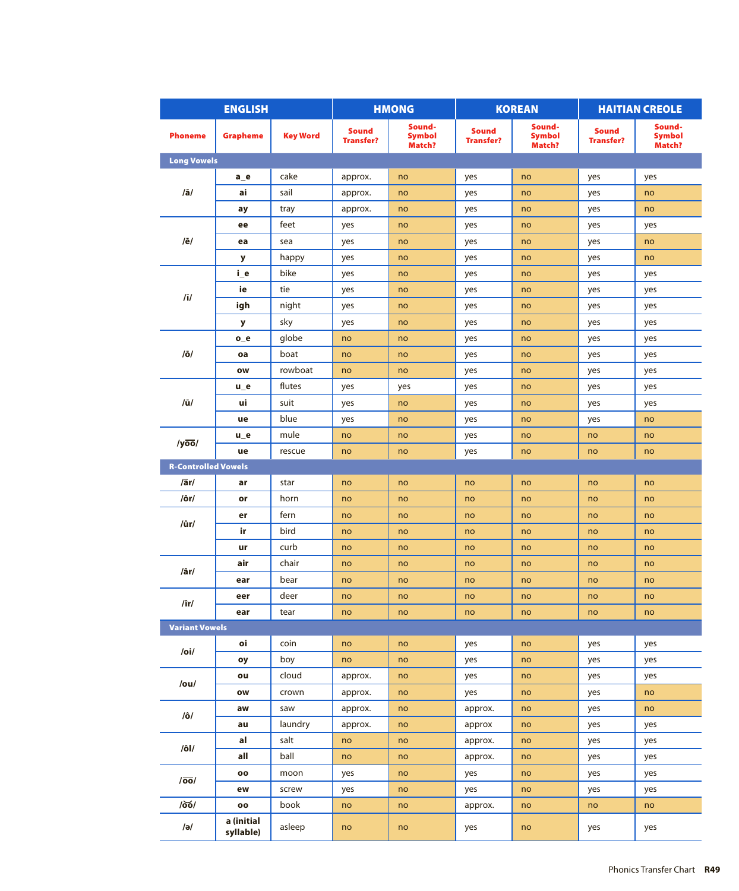|                            | <b>ENGLISH</b>          |                 |                                  | <b>HMONG</b>                             |                                  | <b>KOREAN</b>                            |                                  | <b>HAITIAN CREOLE</b>                    |
|----------------------------|-------------------------|-----------------|----------------------------------|------------------------------------------|----------------------------------|------------------------------------------|----------------------------------|------------------------------------------|
| <b>Phoneme</b>             | <b>Grapheme</b>         | <b>Key Word</b> | <b>Sound</b><br><b>Transfer?</b> | Sound-<br><b>Symbol</b><br><b>Match?</b> | <b>Sound</b><br><b>Transfer?</b> | Sound-<br><b>Symbol</b><br><b>Match?</b> | <b>Sound</b><br><b>Transfer?</b> | Sound-<br><b>Symbol</b><br><b>Match?</b> |
| <b>Long Vowels</b>         |                         |                 |                                  |                                          |                                  |                                          |                                  |                                          |
|                            | $a_e$                   | cake            | approx.                          | no                                       | yes                              | no                                       | yes                              | yes                                      |
| $/\bar{a}/$                | ai                      | sail            | approx.                          | no                                       | yes                              | no                                       | yes                              | no                                       |
|                            | ay                      | tray            | approx.                          | no                                       | yes                              | no                                       | yes                              | no                                       |
|                            | ee                      | feet            | yes                              | no                                       | yes                              | no                                       | yes                              | yes                                      |
| /ē/                        | ea                      | sea             | yes                              | no                                       | yes                              | no                                       | yes                              | no                                       |
|                            | y                       | happy           | yes                              | no                                       | yes                              | no                                       | yes                              | no                                       |
|                            | i_e                     | bike            | yes                              | no                                       | yes                              | no                                       | yes                              | yes                                      |
| $\sqrt{I}$                 | ie                      | tie             | yes                              | no                                       | yes                              | no                                       | yes                              | yes                                      |
|                            | igh                     | night           | yes                              | no                                       | yes                              | no                                       | yes                              | yes                                      |
|                            | y                       | sky             | yes                              | no                                       | yes                              | no                                       | yes                              | yes                                      |
|                            | $o_e$                   | globe           | no                               | no                                       | yes                              | no                                       | yes                              | yes                                      |
| /6/                        | oa                      | boat            | no                               | no                                       | yes                              | no                                       | yes                              | yes                                      |
|                            | ow                      | rowboat         | no                               | no                                       | yes                              | no                                       | yes                              | yes                                      |
|                            | $u_e$                   | flutes          | yes                              | yes                                      | yes                              | no                                       | yes                              | yes                                      |
| $/\bar{u}/$                | ui                      | suit            | yes                              | no                                       | yes                              | no                                       | yes                              | yes                                      |
|                            | ue                      | blue            | yes                              | no                                       | yes                              | no                                       | yes                              | no                                       |
|                            | $u_e$                   | mule            | no                               | no                                       | yes                              | no                                       | no                               | no                                       |
| $/y\overline{oo}/$         | ue                      | rescue          | no                               | no                                       | yes                              | no                                       | no                               | no                                       |
| <b>R-Controlled Vowels</b> |                         |                 |                                  |                                          |                                  |                                          |                                  |                                          |
| /är/                       | ar                      | star            | no                               | no                                       | no                               | no                                       | no                               | no                                       |
| /ôr/                       | or                      | horn            | no                               | no                                       | no                               | no                                       | no                               | no                                       |
|                            | er                      | fern            | no                               | no                                       | no                               | no                                       | no                               | no                                       |
| /ûr/                       | ir                      | bird            | no                               | no                                       | no                               | no                                       | no                               | no                                       |
|                            | ur                      | curb            | no                               | no                                       | no                               | no                                       | no                               | no                                       |
| /âr/                       | air                     | chair           | no                               | no                                       | no                               | no                                       | no                               | no                                       |
|                            | ear                     | bear            | no                               | no                                       | no                               | no                                       | no                               | no                                       |
|                            | eer                     | deer            | no                               | no                                       | no                               | no                                       | no                               | no                                       |
| $/$ îr/                    | ear                     | tear            | no                               | no                                       | no                               | no                                       | no                               | no                                       |
| <b>Variant Vowels</b>      |                         |                 |                                  |                                          |                                  |                                          |                                  |                                          |
| /oi/                       | oi                      | coin            | no                               | no                                       | yes                              | no                                       | yes                              | yes                                      |
|                            | oy                      | boy             | no                               | no                                       | yes                              | no                                       | yes                              | yes                                      |
| /ou/                       | ou                      | cloud           | approx.                          | no                                       | yes                              | no                                       | yes                              | yes                                      |
|                            | ow                      | crown           | approx.                          | no                                       | yes                              | no                                       | yes                              | no                                       |
|                            | aw                      | saw             | approx.                          | no                                       | approx.                          | no                                       | yes                              | no                                       |
| /ô/                        | au                      | laundry         | approx.                          | no                                       | approx                           | no                                       | yes                              | yes                                      |
|                            | al                      | salt            | no                               | no                                       | approx.                          | no                                       | yes                              | yes                                      |
| /ôl/                       | all                     | ball            | no                               | no                                       | approx.                          | no                                       | yes                              | yes                                      |
|                            | oo                      | moon            | yes                              | no                                       | yes                              | no                                       | yes                              | yes                                      |
| $\sqrt{200}$               | ew                      | screw           | yes                              | no                                       | yes                              | no                                       | yes                              | yes                                      |
| 100/                       | oo                      | book            | no                               | no                                       | approx.                          | no                                       | no                               | no                                       |
| $\overline{\theta}$        | a (initial<br>syllable) | asleep          | no                               | no                                       | yes                              | no                                       | yes                              | yes                                      |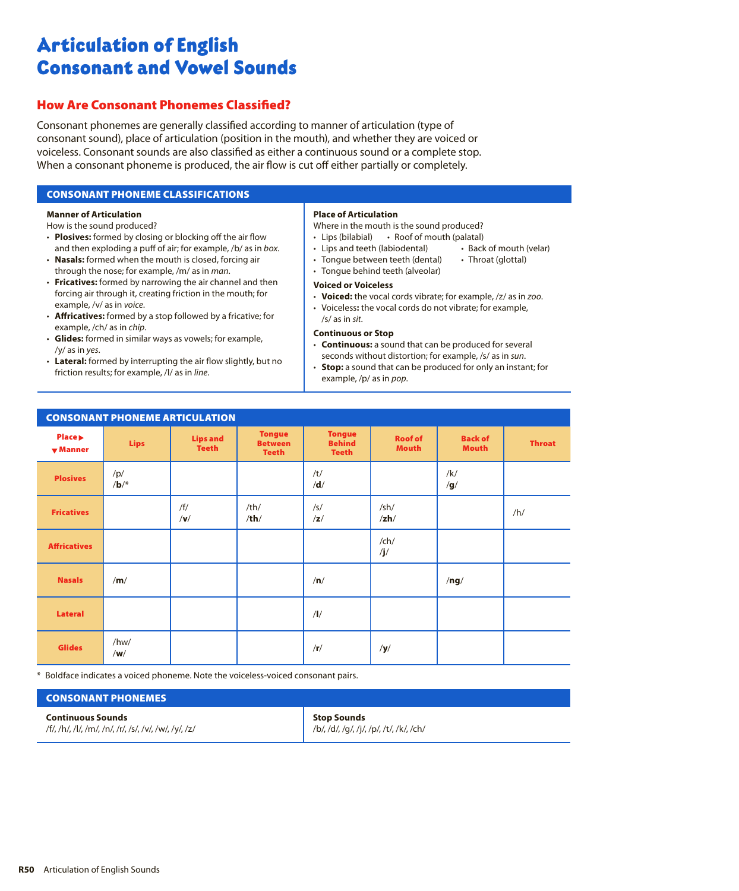## Articulation of English Consonant and Vowel Sounds

## How Are Consonant Phonemes Classified?

Consonant phonemes are generally classified according to manner of articulation (type of consonant sound), place of articulation (position in the mouth), and whether they are voiced or voiceless. Consonant sounds are also classified as either a continuous sound or a complete stop. When a consonant phoneme is produced, the air flow is cut off either partially or completely.

### Consonant Phoneme Classifications

#### **Manner of Articulation**

How is the sound produced?

- **Plosives:** formed by closing or blocking off the air flow and then exploding a puff of air; for example, /b/ as in *box*.
- • **Nasals:** formed when the mouth is closed, forcing air through the nose; for example, /m/ as in *man*.
- • **Fricatives:** formed by narrowing the air channel and then forcing air through it, creating friction in the mouth; for example, /v/ as in *voice*.
- • **Affricatives:** formed by a stop followed by a fricative; for example, /ch/ as in *chip*.
- • **Glides:** formed in similar ways as vowels; for example, /y/ as in *yes*.
- Lateral: formed by interrupting the air flow slightly, but no friction results; for example, /l/ as in *line*.

#### **Place of Articulation**

Where in the mouth is the sound produced?

- Lips (bilabial) Roof of mouth (palatal)
- Lips and teeth (labiodental) Back of mouth (velar)
- Tongue between teeth (dental) Throat (glottal)
- Tongue behind teeth (alveolar)

#### **Voiced or Voiceless**

- • **Voiced:** the vocal cords vibrate; for example, /z/ as in *zoo*.
- • Voiceless**:** the vocal cords do not vibrate; for example, /s/ as in *sit*.

#### **Continuous or Stop**

- • **Continuous:** a sound that can be produced for several
- seconds without distortion; for example, /s/ as in *sun*. • **Stop:** a sound that can be produced for only an instant; for example, /p/ as in *pop*.

|  | <b>CONSONANT PHONEME ARTICULATION</b> |
|--|---------------------------------------|
|  |                                       |

| CONSONAITE FHONEIRE ARTICUEATION            |                |                                 |                                                 |                                                |                                |                                |               |
|---------------------------------------------|----------------|---------------------------------|-------------------------------------------------|------------------------------------------------|--------------------------------|--------------------------------|---------------|
| <b>Place</b><br>$\blacktriangledown$ Manner | Lips           | <b>Lips and</b><br><b>Teeth</b> | <b>Tongue</b><br><b>Between</b><br><b>Teeth</b> | <b>Tongue</b><br><b>Behind</b><br><b>Teeth</b> | <b>Roof of</b><br><b>Mouth</b> | <b>Back of</b><br><b>Mouth</b> | <b>Throat</b> |
| <b>Plosives</b>                             | /p/<br>$/b/$ * |                                 |                                                 | /t/<br>/d/                                     |                                | /k/<br>/g/                     |               |
| <b>Fricatives</b>                           |                | /f/<br>$/\mathbf{v}/$           | /th/<br>/th/                                    | /s/<br> z                                      | /sh/<br>/zh/                   |                                | /h/           |
| <b>Affricatives</b>                         |                |                                 |                                                 |                                                | /ch/<br>$\mathbf{j}/$          |                                |               |
| <b>Nasals</b>                               | /m/            |                                 |                                                 | /n/                                            |                                | /ng/                           |               |
| <b>Lateral</b>                              |                |                                 |                                                 | /                                              |                                |                                |               |
| <b>Glides</b>                               | /hw/<br>/w/    |                                 |                                                 | /r/                                            | /y/                            |                                |               |

\* Boldface indicates a voiced phoneme. Note the voiceless-voiced consonant pairs.

### Consonant Phonemes

| <b>Continuous Sounds</b>                              |  |
|-------------------------------------------------------|--|
| /f/, /h/, /l/, /m/, /n/, /r/, /s/, /v/, /w/, /y/, /z/ |  |

**Stop Sounds** /b/, /d/, /g/, /j/, /p/, /t/, /k/, /ch/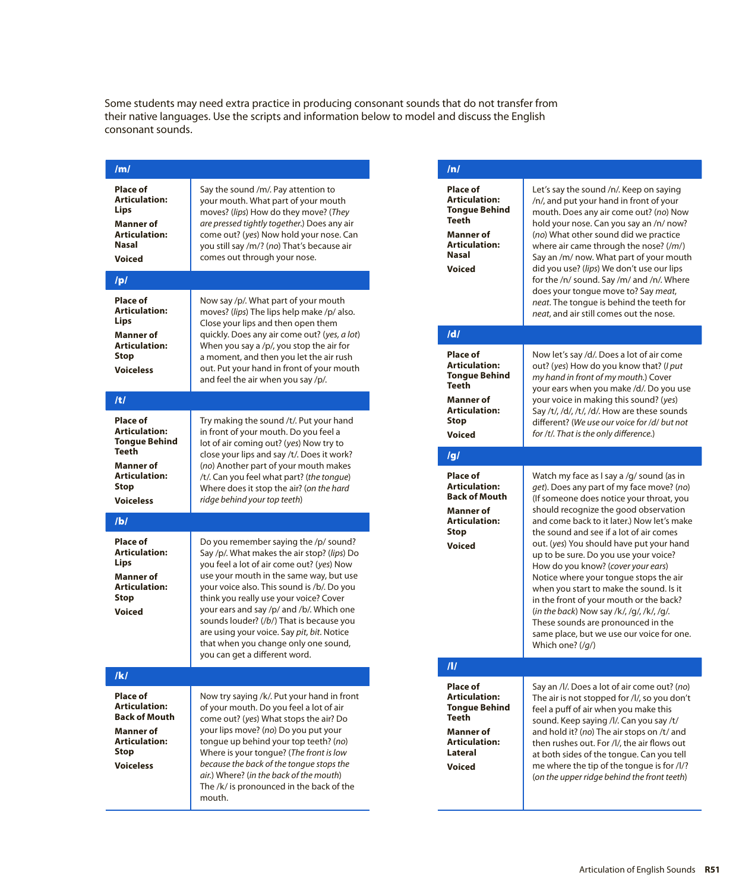Some students may need extra practice in producing consonant sounds that do not transfer from their native languages. Use the scripts and information below to model and discuss the English consonant sounds.

| /m/                                                                                                                                            |                                                                                                                                                                                                                                                                                                                                                                                                                                                                                     |  | /n/                                                                                                                                                          |                                                                                                                                                                                                                                                                                                                                                                                                                                                                           |  |
|------------------------------------------------------------------------------------------------------------------------------------------------|-------------------------------------------------------------------------------------------------------------------------------------------------------------------------------------------------------------------------------------------------------------------------------------------------------------------------------------------------------------------------------------------------------------------------------------------------------------------------------------|--|--------------------------------------------------------------------------------------------------------------------------------------------------------------|---------------------------------------------------------------------------------------------------------------------------------------------------------------------------------------------------------------------------------------------------------------------------------------------------------------------------------------------------------------------------------------------------------------------------------------------------------------------------|--|
| <b>Place of</b><br><b>Articulation:</b><br>Lips<br><b>Manner of</b><br><b>Articulation:</b><br><b>Nasal</b><br><b>Voiced</b>                   | Say the sound /m/. Pay attention to<br>your mouth. What part of your mouth<br>moves? (lips) How do they move? (They<br>are pressed tightly together.) Does any air<br>come out? (yes) Now hold your nose. Can<br>you still say /m/? (no) That's because air<br>comes out through your nose.                                                                                                                                                                                         |  | <b>Place of</b><br><b>Articulation:</b><br><b>Tongue Behind</b><br><b>Teeth</b><br><b>Manner of</b><br><b>Articulation:</b><br><b>Nasal</b><br><b>Voiced</b> | Let's say the sound /n/. Keep on saying<br>/n/, and put your hand in front of your<br>mouth. Does any air come out? (no) Now<br>hold your nose. Can you say an /n/ now?<br>(no) What other sound did we practice<br>where air came through the nose? (/m/)<br>Say an /m/ now. What part of your mouth<br>did you use? (lips) We don't use our lips                                                                                                                        |  |
| /p/                                                                                                                                            |                                                                                                                                                                                                                                                                                                                                                                                                                                                                                     |  |                                                                                                                                                              | for the /n/ sound. Say /m/ and /n/. Where<br>does your tonque move to? Say meat,                                                                                                                                                                                                                                                                                                                                                                                          |  |
| <b>Place of</b><br><b>Articulation:</b><br>Lips                                                                                                | Now say /p/. What part of your mouth<br>moves? (lips) The lips help make /p/ also.<br>Close your lips and then open them                                                                                                                                                                                                                                                                                                                                                            |  |                                                                                                                                                              | neat. The tongue is behind the teeth for<br>neat, and air still comes out the nose.                                                                                                                                                                                                                                                                                                                                                                                       |  |
| <b>Manner of</b><br><b>Articulation:</b>                                                                                                       | quickly. Does any air come out? (yes, a lot)<br>When you say a /p/, you stop the air for                                                                                                                                                                                                                                                                                                                                                                                            |  | /dl/                                                                                                                                                         |                                                                                                                                                                                                                                                                                                                                                                                                                                                                           |  |
| <b>Stop</b><br><b>Voiceless</b>                                                                                                                | <b>Place of</b><br>a moment, and then you let the air rush<br>out. Put your hand in front of your mouth<br>and feel the air when you say /p/.<br><b>Teeth</b>                                                                                                                                                                                                                                                                                                                       |  | <b>Articulation:</b><br><b>Tongue Behind</b>                                                                                                                 | Now let's say /d/. Does a lot of air come<br>out? (yes) How do you know that? (I put<br>my hand in front of my mouth.) Cover<br>your ears when you make /d/. Do you use                                                                                                                                                                                                                                                                                                   |  |
| / t/                                                                                                                                           |                                                                                                                                                                                                                                                                                                                                                                                                                                                                                     |  | <b>Manner of</b><br><b>Articulation:</b>                                                                                                                     | your voice in making this sound? (yes)<br>Say /t/, /d/, /t/, /d/. How are these sounds                                                                                                                                                                                                                                                                                                                                                                                    |  |
| <b>Place of</b><br><b>Articulation:</b>                                                                                                        | Try making the sound /t/. Put your hand<br>in front of your mouth. Do you feel a                                                                                                                                                                                                                                                                                                                                                                                                    |  | <b>Stop</b><br><b>Voiced</b>                                                                                                                                 | different? (We use our voice for /d/ but not<br>for /t/. That is the only difference.)                                                                                                                                                                                                                                                                                                                                                                                    |  |
| <b>Tongue Behind</b><br><b>Teeth</b>                                                                                                           | lot of air coming out? (yes) Now try to<br>close your lips and say /t/. Does it work?<br>(no) Another part of your mouth makes<br>/t/. Can you feel what part? (the tongue)<br>Where does it stop the air? (on the hard<br>ridge behind your top teeth)                                                                                                                                                                                                                             |  | /g/                                                                                                                                                          |                                                                                                                                                                                                                                                                                                                                                                                                                                                                           |  |
| <b>Manner of</b><br><b>Articulation:</b><br><b>Stop</b><br><b>Voiceless</b>                                                                    |                                                                                                                                                                                                                                                                                                                                                                                                                                                                                     |  | <b>Place of</b><br><b>Articulation:</b><br><b>Back of Mouth</b>                                                                                              | Watch my face as I say a /g/ sound (as in<br>get). Does any part of my face move? (no)<br>(If someone does notice your throat, you                                                                                                                                                                                                                                                                                                                                        |  |
| I <sub>b</sub> I                                                                                                                               |                                                                                                                                                                                                                                                                                                                                                                                                                                                                                     |  | <b>Manner of</b><br><b>Articulation:</b>                                                                                                                     | should recognize the good observation<br>and come back to it later.) Now let's make                                                                                                                                                                                                                                                                                                                                                                                       |  |
| <b>Place of</b><br><b>Articulation:</b><br>Lips<br><b>Manner of</b><br><b>Articulation:</b><br><b>Stop</b><br>Voiced                           | Do you remember saying the /p/ sound?<br>Say /p/. What makes the air stop? (lips) Do<br>you feel a lot of air come out? (yes) Now<br>use your mouth in the same way, but use<br>your voice also. This sound is /b/. Do you<br>think you really use your voice? Cover<br>your ears and say /p/ and /b/. Which one<br>sounds louder? (/b/) That is because you<br>are using your voice. Say pit, bit. Notice<br>that when you change only one sound,<br>you can get a different word. |  | <b>Stop</b><br><b>Voiced</b>                                                                                                                                 | the sound and see if a lot of air comes<br>out. (yes) You should have put your hand<br>up to be sure. Do you use your voice?<br>How do you know? (cover your ears)<br>Notice where your tongue stops the air<br>when you start to make the sound. Is it<br>in the front of your mouth or the back?<br>(in the back) Now say /k/, /g/, /k/, /g/.<br>These sounds are pronounced in the<br>same place, but we use our voice for one.<br>Which one? $\left(\frac{q}{\right)$ |  |
| k                                                                                                                                              |                                                                                                                                                                                                                                                                                                                                                                                                                                                                                     |  | III                                                                                                                                                          |                                                                                                                                                                                                                                                                                                                                                                                                                                                                           |  |
| <b>Place of</b><br><b>Articulation:</b><br><b>Back of Mouth</b><br><b>Manner of</b><br><b>Articulation:</b><br><b>Stop</b><br><b>Voiceless</b> | Now try saying /k/. Put your hand in front<br>of your mouth. Do you feel a lot of air<br>come out? (yes) What stops the air? Do<br>your lips move? (no) Do you put your<br>tongue up behind your top teeth? (no)<br>Where is your tongue? (The front is low<br>because the back of the tongue stops the<br>air.) Where? (in the back of the mouth)<br>The /k/ is pronounced in the back of the<br>mouth.                                                                            |  | <b>Place of</b><br><b>Articulation:</b><br><b>Tongue Behind</b><br><b>Teeth</b><br><b>Manner of</b><br><b>Articulation:</b><br>Lateral<br><b>Voiced</b>      | Say an /l/. Does a lot of air come out? (no)<br>The air is not stopped for /l/, so you don't<br>feel a puff of air when you make this<br>sound. Keep saying /l/. Can you say /t/<br>and hold it? (no) The air stops on /t/ and<br>then rushes out. For /l/, the air flows out<br>at both sides of the tongue. Can you tell<br>me where the tip of the tongue is for /l/?<br>(on the upper ridge behind the front teeth)                                                   |  |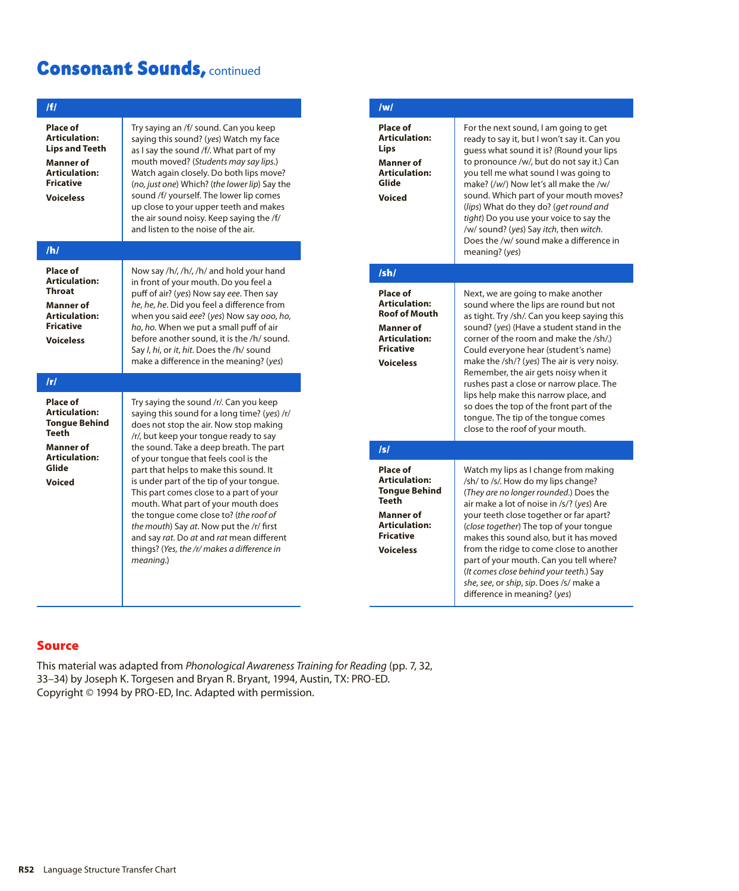## **Consonant Sounds, Continued**

| H                                                                                                                                                    |                                                                                                                                                                                                                                                                                                                                                                                                                                         |  | $\sqrt{W}$                                                                                                                                                          |                                                                                                                                                                                                                                                                                                                                                                                                                                                                                                                  |
|------------------------------------------------------------------------------------------------------------------------------------------------------|-----------------------------------------------------------------------------------------------------------------------------------------------------------------------------------------------------------------------------------------------------------------------------------------------------------------------------------------------------------------------------------------------------------------------------------------|--|---------------------------------------------------------------------------------------------------------------------------------------------------------------------|------------------------------------------------------------------------------------------------------------------------------------------------------------------------------------------------------------------------------------------------------------------------------------------------------------------------------------------------------------------------------------------------------------------------------------------------------------------------------------------------------------------|
| <b>Place of</b><br><b>Articulation:</b><br><b>Lips and Teeth</b><br><b>Manner</b> of<br><b>Articulation:</b><br><b>Fricative</b><br><b>Voiceless</b> | Try saying an /f/ sound. Can you keep<br>saying this sound? (yes) Watch my face<br>as I say the sound /f/. What part of my<br>mouth moved? (Students may say lips.)<br>Watch again closely. Do both lips move?<br>(no, just one) Which? (the lower lip) Say the<br>sound /f/ yourself. The lower lip comes<br>up close to your upper teeth and makes<br>the air sound noisy. Keep saying the /f/<br>and listen to the noise of the air. |  | <b>Place of</b><br><b>Articulation:</b><br><b>Lips</b><br><b>Manner of</b><br><b>Articulation:</b><br>Glide<br><b>Voiced</b>                                        | For the next sound, I am going to get<br>ready to say it, but I won't say it. Can you<br>quess what sound it is? (Round your lips<br>to pronounce /w/, but do not say it.) Can<br>you tell me what sound I was going to<br>make? (/w/) Now let's all make the /w/<br>sound. Which part of your mouth moves?<br>(lips) What do they do? (get round and<br>tight) Do you use your voice to say the<br>/w/ sound? (yes) Say itch, then witch.<br>Does the /w/ sound make a difference in                            |
| /h/                                                                                                                                                  |                                                                                                                                                                                                                                                                                                                                                                                                                                         |  |                                                                                                                                                                     | meaning? (yes)                                                                                                                                                                                                                                                                                                                                                                                                                                                                                                   |
| <b>Place of</b><br><b>Articulation:</b>                                                                                                              | Now say /h/, /h/, /h/ and hold your hand<br>in front of your mouth. Do you feel a<br><b>Throat</b><br>puff of air? (yes) Now say eee. Then say<br>he, he, he. Did you feel a difference from<br>when you said eee? (yes) Now say ooo, ho,<br>ho, ho. When we put a small puff of air<br>before another sound, it is the /h/ sound.<br>Say I, hi, or it, hit. Does the /h/ sound<br>make a difference in the meaning? (yes)              |  | /sh/                                                                                                                                                                |                                                                                                                                                                                                                                                                                                                                                                                                                                                                                                                  |
| <b>Manner</b> of<br><b>Articulation:</b><br><b>Fricative</b><br><b>Voiceless</b>                                                                     |                                                                                                                                                                                                                                                                                                                                                                                                                                         |  | <b>Place of</b><br><b>Articulation:</b><br><b>Roof of Mouth</b><br><b>Manner of</b><br><b>Articulation:</b><br><b>Fricative</b><br><b>Voiceless</b>                 | Next, we are going to make another<br>sound where the lips are round but not<br>as tight. Try /sh/. Can you keep saying this<br>sound? (yes) (Have a student stand in the<br>corner of the room and make the /sh/.)<br>Could everyone hear (student's name)<br>make the /sh/? (yes) The air is very noisy.<br>Remember, the air gets noisy when it                                                                                                                                                               |
| r                                                                                                                                                    |                                                                                                                                                                                                                                                                                                                                                                                                                                         |  |                                                                                                                                                                     | rushes past a close or narrow place. The<br>lips help make this narrow place, and                                                                                                                                                                                                                                                                                                                                                                                                                                |
| <b>Place of</b><br><b>Articulation:</b><br><b>Tongue Behind</b><br><b>Teeth</b>                                                                      | Try saying the sound /r/. Can you keep<br>saying this sound for a long time? (yes) /r/<br>does not stop the air. Now stop making<br>/r/, but keep your tongue ready to say                                                                                                                                                                                                                                                              |  |                                                                                                                                                                     | so does the top of the front part of the<br>tongue. The tip of the tongue comes<br>close to the roof of your mouth.                                                                                                                                                                                                                                                                                                                                                                                              |
| <b>Manner</b> of<br><b>Articulation:</b>                                                                                                             | the sound. Take a deep breath. The part<br>of your tongue that feels cool is the                                                                                                                                                                                                                                                                                                                                                        |  | s                                                                                                                                                                   |                                                                                                                                                                                                                                                                                                                                                                                                                                                                                                                  |
| Glide<br><b>Voiced</b>                                                                                                                               | part that helps to make this sound. It<br>is under part of the tip of your tongue.<br>This part comes close to a part of your<br>mouth. What part of your mouth does<br>the tongue come close to? (the roof of<br>the mouth) Say at. Now put the /r/ first<br>and say rat. Do at and rat mean different<br>things? (Yes, the /r/ makes a difference in<br>meaning.)                                                                     |  | <b>Place of</b><br><b>Articulation:</b><br><b>Tongue Behind</b><br><b>Teeth</b><br><b>Manner of</b><br><b>Articulation:</b><br><b>Fricative</b><br><b>Voiceless</b> | Watch my lips as I change from making<br>/sh/ to /s/. How do my lips change?<br>(They are no longer rounded.) Does the<br>air make a lot of noise in /s/? (yes) Are<br>your teeth close together or far apart?<br>(close together) The top of your tongue<br>makes this sound also, but it has moved<br>from the ridge to come close to another<br>part of your mouth. Can you tell where?<br>(It comes close behind your teeth.) Say<br>she, see, or ship, sip. Does /s/ make a<br>difference in meaning? (yes) |

### Source

This material was adapted from *Phonological Awareness Training for Reading* (pp. 7, 32, 33–34) by Joseph K. Torgesen and Bryan R. Bryant, 1994, Austin, TX: PRO-ED. Copyright © 1994 by PRO-ED, Inc. Adapted with permission.